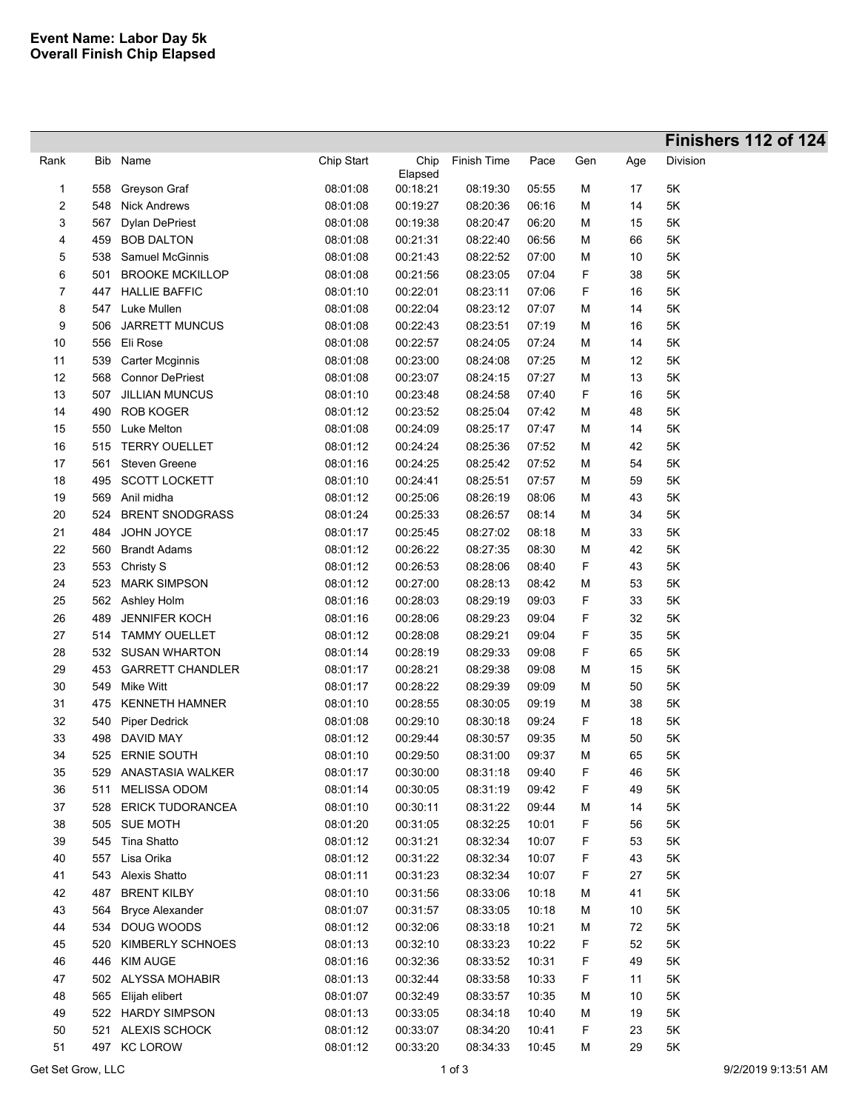|      |     |                         |            |                     |             |       |     |     | Finishers 112 of 124 |
|------|-----|-------------------------|------------|---------------------|-------------|-------|-----|-----|----------------------|
| Rank | Bib | Name                    | Chip Start | Chip                | Finish Time | Pace  | Gen | Age | Division             |
| 1    | 558 | Greyson Graf            | 08:01:08   | Elapsed<br>00:18:21 | 08:19:30    | 05:55 | M   | 17  | 5K                   |
| 2    | 548 | <b>Nick Andrews</b>     | 08:01:08   | 00:19:27            | 08:20:36    | 06:16 | M   | 14  | 5K                   |
| 3    | 567 | <b>Dylan DePriest</b>   | 08:01:08   | 00:19:38            | 08:20:47    | 06:20 | M   | 15  | 5Κ                   |
| 4    | 459 | <b>BOB DALTON</b>       | 08:01:08   | 00:21:31            | 08:22:40    | 06:56 | M   | 66  | 5K                   |
| 5    | 538 | Samuel McGinnis         | 08:01:08   | 00:21:43            | 08:22:52    | 07:00 | M   | 10  | 5K                   |
| 6    | 501 | <b>BROOKE MCKILLOP</b>  | 08:01:08   | 00:21:56            | 08:23:05    | 07:04 | F   | 38  | 5K                   |
| 7    | 447 | <b>HALLIE BAFFIC</b>    | 08:01:10   | 00:22:01            | 08:23:11    | 07:06 | F   | 16  | 5K                   |
| 8    | 547 | Luke Mullen             | 08:01:08   | 00:22:04            | 08:23:12    | 07:07 | M   | 14  | 5K                   |
| 9    | 506 | <b>JARRETT MUNCUS</b>   | 08:01:08   | 00:22:43            | 08:23:51    | 07:19 | M   | 16  | 5K                   |
| 10   | 556 | Eli Rose                | 08:01:08   | 00:22:57            | 08:24:05    | 07:24 | M   | 14  | 5K                   |
| 11   | 539 | Carter Mcginnis         | 08:01:08   | 00:23:00            | 08:24:08    | 07:25 | M   | 12  | 5K                   |
| 12   | 568 | <b>Connor DePriest</b>  | 08:01:08   | 00:23:07            | 08:24:15    | 07:27 | M   | 13  | 5K                   |
| 13   | 507 | <b>JILLIAN MUNCUS</b>   | 08:01:10   | 00:23:48            | 08:24:58    | 07:40 | F   | 16  | 5K                   |
| 14   | 490 | <b>ROB KOGER</b>        | 08:01:12   | 00:23:52            | 08:25:04    | 07:42 | M   | 48  | 5K                   |
| 15   | 550 | Luke Melton             | 08:01:08   | 00:24:09            | 08:25:17    | 07:47 | M   | 14  | 5K                   |
| 16   | 515 | <b>TERRY OUELLET</b>    | 08:01:12   | 00:24:24            | 08:25:36    | 07:52 | M   | 42  | 5K                   |
| 17   | 561 | <b>Steven Greene</b>    | 08:01:16   | 00:24:25            | 08:25:42    | 07:52 | M   | 54  | 5K                   |
| 18   | 495 | <b>SCOTT LOCKETT</b>    | 08:01:10   | 00:24:41            | 08:25:51    | 07:57 | M   | 59  | 5K                   |
| 19   | 569 | Anil midha              | 08:01:12   | 00:25:06            | 08:26:19    | 08:06 | M   | 43  | 5K                   |
| 20   | 524 | <b>BRENT SNODGRASS</b>  | 08:01:24   | 00:25:33            | 08:26:57    | 08:14 | M   | 34  | 5K                   |
| 21   | 484 | JOHN JOYCE              | 08:01:17   | 00:25:45            | 08:27:02    | 08:18 | M   | 33  | 5K                   |
| 22   | 560 | <b>Brandt Adams</b>     | 08:01:12   | 00:26:22            | 08:27:35    | 08:30 | M   | 42  | 5K                   |
| 23   | 553 | Christy S               | 08:01:12   | 00:26:53            | 08:28:06    | 08:40 | F   | 43  | 5K                   |
| 24   | 523 | <b>MARK SIMPSON</b>     | 08:01:12   | 00:27:00            | 08:28:13    | 08:42 | M   | 53  | 5K                   |
| 25   | 562 | Ashley Holm             | 08:01:16   | 00:28:03            | 08:29:19    | 09:03 | F   | 33  | 5K                   |
| 26   | 489 | <b>JENNIFER KOCH</b>    | 08:01:16   | 00:28:06            | 08:29:23    | 09:04 | F   | 32  | 5K                   |
| 27   | 514 | <b>TAMMY OUELLET</b>    | 08:01:12   | 00:28:08            | 08:29:21    | 09:04 | F   | 35  | 5K                   |
| 28   |     | 532 SUSAN WHARTON       | 08:01:14   | 00:28:19            | 08:29:33    | 09:08 | F   | 65  | 5Κ                   |
| 29   | 453 | <b>GARRETT CHANDLER</b> | 08:01:17   | 00:28:21            | 08:29:38    | 09:08 | M   | 15  | 5K                   |
| 30   | 549 | Mike Witt               | 08:01:17   | 00:28:22            | 08:29:39    | 09:09 | M   | 50  | 5K                   |
| 31   | 475 | <b>KENNETH HAMNER</b>   | 08:01:10   | 00:28:55            | 08:30:05    | 09:19 | M   | 38  | 5K                   |
| 32   | 540 | <b>Piper Dedrick</b>    | 08:01:08   | 00:29:10            | 08:30:18    | 09:24 | F   | 18  | 5K                   |
| 33   | 498 | <b>DAVID MAY</b>        | 08:01:12   | 00:29:44            | 08:30:57    | 09:35 | M   | 50  | 5K                   |
| 34   | 525 | <b>ERNIE SOUTH</b>      | 08:01:10   | 00:29:50            | 08:31:00    | 09:37 | M   | 65  | 5K                   |
| 35   | 529 | ANASTASIA WALKER        | 08:01:17   | 00:30:00            | 08:31:18    | 09:40 | F   | 46  | 5K                   |
| 36   | 511 | <b>MELISSA ODOM</b>     | 08:01:14   | 00:30:05            | 08:31:19    | 09:42 | F   | 49  | 5K                   |
| 37   | 528 | <b>ERICK TUDORANCEA</b> | 08:01:10   | 00:30:11            | 08:31:22    | 09:44 | M   | 14  | 5K                   |
| 38   |     | 505 SUE MOTH            | 08:01:20   | 00:31:05            | 08:32:25    | 10:01 | F   | 56  | 5K                   |
| 39   | 545 | <b>Tina Shatto</b>      | 08:01:12   | 00:31:21            | 08:32:34    | 10:07 | F   | 53  | 5K                   |
| 40   | 557 | Lisa Orika              | 08:01:12   | 00:31:22            | 08:32:34    | 10:07 | F   | 43  | 5K                   |
| 41   |     | 543 Alexis Shatto       | 08:01:11   | 00:31:23            | 08:32:34    | 10:07 | F   | 27  | 5K                   |
| 42   | 487 | <b>BRENT KILBY</b>      | 08:01:10   | 00:31:56            | 08:33:06    | 10:18 | M   | 41  | 5K                   |
| 43   | 564 | <b>Bryce Alexander</b>  | 08:01:07   | 00:31:57            | 08:33:05    | 10:18 | M   | 10  | 5K                   |
| 44   | 534 | DOUG WOODS              | 08:01:12   | 00:32:06            | 08:33:18    | 10:21 | M   | 72  | 5K                   |
| 45   | 520 | <b>KIMBERLY SCHNOES</b> | 08:01:13   | 00:32:10            | 08:33:23    | 10:22 | F   | 52  | 5K                   |
| 46   | 446 | <b>KIM AUGE</b>         | 08:01:16   | 00:32:36            | 08:33:52    | 10:31 | F   | 49  | 5K                   |
| 47   |     | 502 ALYSSA MOHABIR      | 08:01:13   | 00:32:44            | 08:33:58    | 10:33 | F   | 11  | 5K                   |
| 48   | 565 | Elijah elibert          | 08:01:07   | 00:32:49            | 08:33:57    | 10:35 | M   | 10  | 5K                   |
| 49   |     | 522 HARDY SIMPSON       | 08:01:13   | 00:33:05            | 08:34:18    | 10:40 | M   | 19  | 5K                   |
| 50   |     | 521 ALEXIS SCHOCK       | 08:01:12   | 00:33:07            | 08:34:20    | 10:41 | F   | 23  | 5K                   |
| 51   |     | 497 KC LOROW            | 08:01:12   | 00:33:20            | 08:34:33    | 10:45 | м   | 29  | 5K                   |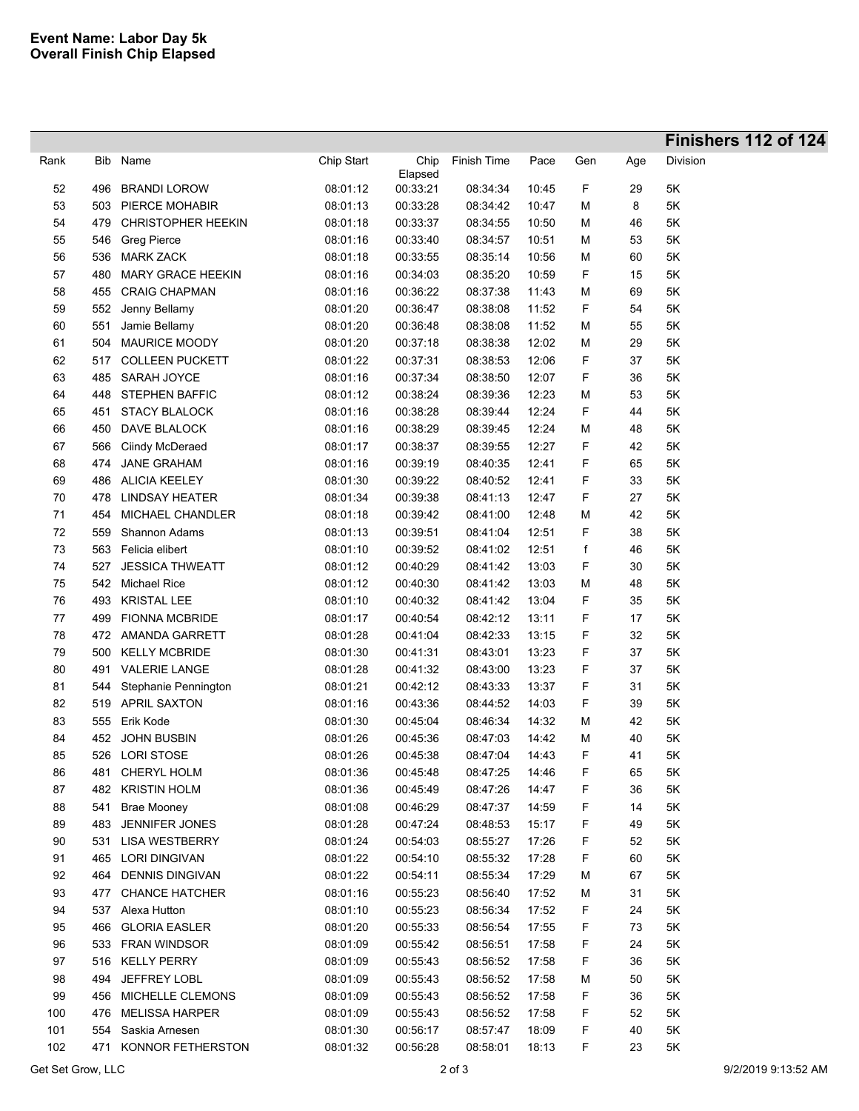l

|      |     |                           |            |                     |             |       |     |     | Finishers 112 of 124 |
|------|-----|---------------------------|------------|---------------------|-------------|-------|-----|-----|----------------------|
| Rank | Bib | Name                      | Chip Start | Chip                | Finish Time | Pace  | Gen | Age | Division             |
| 52   | 496 | <b>BRANDI LOROW</b>       | 08:01:12   | Elapsed<br>00:33:21 | 08:34:34    | 10:45 | F   | 29  | 5K                   |
| 53   | 503 | PIERCE MOHABIR            | 08:01:13   | 00:33:28            | 08:34:42    | 10:47 | M   | 8   | 5K                   |
| 54   | 479 | <b>CHRISTOPHER HEEKIN</b> | 08:01:18   | 00:33:37            | 08:34:55    | 10:50 | Μ   | 46  | 5Κ                   |
| 55   | 546 | <b>Greg Pierce</b>        | 08:01:16   | 00:33:40            | 08:34:57    | 10:51 | Μ   | 53  | 5K                   |
| 56   | 536 | <b>MARK ZACK</b>          | 08:01:18   | 00:33:55            | 08:35:14    | 10:56 | Μ   | 60  | 5K                   |
| 57   | 480 | <b>MARY GRACE HEEKIN</b>  | 08:01:16   | 00:34:03            | 08:35:20    | 10:59 | F   | 15  | 5K                   |
| 58   | 455 | <b>CRAIG CHAPMAN</b>      | 08:01:16   | 00:36:22            | 08:37:38    | 11:43 | M   | 69  | 5K                   |
| 59   | 552 | Jenny Bellamy             | 08:01:20   | 00:36:47            | 08:38:08    | 11:52 | F   | 54  | 5K                   |
| 60   | 551 | Jamie Bellamy             | 08:01:20   | 00:36:48            | 08:38:08    | 11:52 | M   | 55  | 5K                   |
| 61   | 504 | <b>MAURICE MOODY</b>      | 08:01:20   | 00:37:18            | 08:38:38    | 12:02 | М   | 29  | 5K                   |
| 62   | 517 | <b>COLLEEN PUCKETT</b>    | 08:01:22   | 00:37:31            | 08:38:53    | 12:06 | F   | 37  | 5K                   |
| 63   | 485 | SARAH JOYCE               | 08:01:16   | 00:37:34            | 08:38:50    | 12:07 | F   | 36  | 5K                   |
| 64   | 448 | <b>STEPHEN BAFFIC</b>     | 08:01:12   | 00:38:24            | 08:39:36    | 12:23 | M   | 53  | 5K                   |
| 65   | 451 | <b>STACY BLALOCK</b>      | 08:01:16   | 00:38:28            | 08:39:44    | 12:24 | F   | 44  | 5K                   |
| 66   | 450 | DAVE BLALOCK              | 08:01:16   | 00:38:29            | 08:39:45    | 12:24 | M   | 48  | 5K                   |
| 67   | 566 | Ciindy McDeraed           | 08:01:17   | 00:38:37            | 08:39:55    | 12:27 | F   | 42  | 5K                   |
| 68   | 474 | <b>JANE GRAHAM</b>        | 08:01:16   | 00:39:19            | 08:40:35    | 12:41 | F   | 65  | 5K                   |
| 69   | 486 | <b>ALICIA KEELEY</b>      | 08:01:30   | 00:39:22            | 08:40:52    | 12:41 | F   | 33  | 5K                   |
| 70   | 478 | <b>LINDSAY HEATER</b>     | 08:01:34   | 00:39:38            | 08:41:13    | 12:47 | F   | 27  | 5K                   |
| 71   | 454 | MICHAEL CHANDLER          | 08:01:18   | 00:39:42            | 08:41:00    | 12:48 | M   | 42  | 5K                   |
| 72   | 559 | Shannon Adams             | 08:01:13   | 00:39:51            | 08:41:04    | 12:51 | F   | 38  | 5K                   |
| 73   | 563 | Felicia elibert           | 08:01:10   | 00:39:52            | 08:41:02    | 12:51 | f   | 46  | 5K                   |
| 74   | 527 | <b>JESSICA THWEATT</b>    | 08:01:12   | 00:40:29            | 08:41:42    | 13:03 | F   | 30  | 5Κ                   |
| 75   | 542 | <b>Michael Rice</b>       | 08:01:12   | 00:40:30            | 08:41:42    | 13:03 | M   | 48  | 5K                   |
| 76   | 493 | <b>KRISTAL LEE</b>        | 08:01:10   | 00:40:32            | 08:41:42    | 13:04 | F   | 35  | 5K                   |
| 77   | 499 | <b>FIONNA MCBRIDE</b>     | 08:01:17   | 00:40:54            | 08:42:12    | 13:11 | F   | 17  | 5K                   |
| 78   | 472 | AMANDA GARRETT            | 08:01:28   | 00:41:04            | 08:42:33    | 13:15 | F   | 32  | 5K                   |
| 79   | 500 | <b>KELLY MCBRIDE</b>      | 08:01:30   | 00:41:31            | 08:43:01    | 13:23 | F   | 37  | 5Κ                   |
| 80   | 491 | <b>VALERIE LANGE</b>      | 08:01:28   | 00:41:32            | 08:43:00    | 13:23 | F   | 37  | 5K                   |
| 81   | 544 | Stephanie Pennington      | 08:01:21   | 00:42:12            | 08:43:33    | 13:37 | F   | 31  | 5K                   |
| 82   | 519 | <b>APRIL SAXTON</b>       | 08:01:16   | 00:43:36            | 08:44:52    | 14:03 | F   | 39  | 5K                   |
| 83   | 555 | Erik Kode                 | 08:01:30   | 00:45:04            | 08:46:34    | 14:32 | М   | 42  | 5K                   |
| 84   | 452 | <b>JOHN BUSBIN</b>        | 08:01:26   | 00:45:36            | 08:47:03    | 14:42 | М   | 40  | 5K                   |
| 85   | 526 | <b>LORI STOSE</b>         | 08:01:26   | 00:45:38            | 08:47:04    | 14:43 | F   | 41  | 5K                   |
| 86   |     | 481 CHERYL HOLM           | 08:01:36   | 00:45:48            | 08:47:25    | 14:46 | F   | 65  | 5K                   |
| 87   |     | 482 KRISTIN HOLM          | 08:01:36   | 00:45:49            | 08:47:26    | 14:47 | F   | 36  | 5K                   |
| 88   | 541 | <b>Brae Mooney</b>        | 08:01:08   | 00:46:29            | 08:47:37    | 14:59 | F   | 14  | 5K                   |
| 89   |     | 483 JENNIFER JONES        | 08:01:28   | 00:47:24            | 08:48:53    | 15:17 | F   | 49  | 5K                   |
| 90   |     | 531 LISA WESTBERRY        | 08:01:24   | 00:54:03            | 08:55:27    | 17:26 | F   | 52  | 5K                   |
| 91   |     | 465 LORI DINGIVAN         | 08:01:22   | 00:54:10            | 08:55:32    | 17:28 | F   | 60  | 5K                   |
| 92   |     | 464 DENNIS DINGIVAN       | 08:01:22   | 00:54:11            | 08:55:34    | 17:29 | М   | 67  | 5K                   |
| 93   | 477 | <b>CHANCE HATCHER</b>     | 08:01:16   | 00:55:23            | 08:56:40    | 17:52 | М   | 31  | 5K                   |
| 94   |     | 537 Alexa Hutton          | 08:01:10   | 00:55:23            | 08:56:34    | 17:52 | F   | 24  | 5K                   |
| 95   | 466 | <b>GLORIA EASLER</b>      | 08:01:20   | 00:55:33            | 08:56:54    | 17:55 | F   | 73  | 5K                   |
| 96   |     | 533 FRAN WINDSOR          | 08:01:09   | 00:55:42            | 08:56:51    | 17:58 | F   | 24  | 5K                   |
| 97   | 516 | <b>KELLY PERRY</b>        | 08:01:09   | 00:55:43            | 08:56:52    | 17:58 | F   | 36  | 5K                   |
| 98   | 494 | JEFFREY LOBL              | 08:01:09   | 00:55:43            | 08:56:52    | 17:58 | М   | 50  | 5K                   |
| 99   | 456 | MICHELLE CLEMONS          | 08:01:09   | 00:55:43            | 08:56:52    | 17:58 | F   | 36  | 5K                   |
| 100  | 476 | <b>MELISSA HARPER</b>     | 08:01:09   | 00:55:43            | 08:56:52    | 17:58 | F   | 52  | 5K                   |
| 101  |     | 554 Saskia Arnesen        | 08:01:30   | 00:56:17            | 08:57:47    | 18:09 | F   | 40  | 5K                   |
| 102  |     | 471 KONNOR FETHERSTON     | 08:01:32   | 00:56:28            | 08:58:01    | 18:13 | F   | 23  | 5K                   |